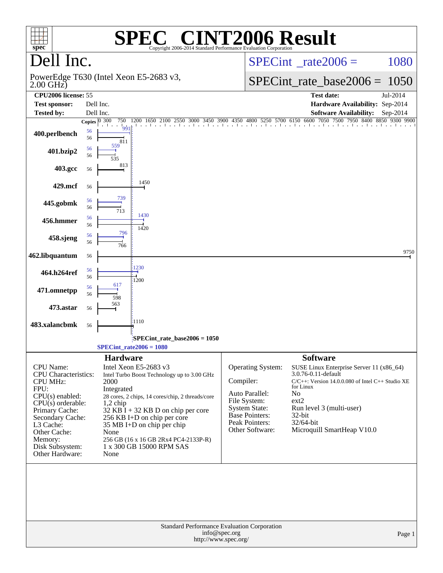| $spec^*$                                                 |          |                                                              | $\mathbf{I}^{\bullet}(\mathbb{R})$<br>Copyright 2006-2014 Standard Performance Evaluation Corporation | <b>INT2006 Result</b>                                                                |                                                                                    |            |
|----------------------------------------------------------|----------|--------------------------------------------------------------|-------------------------------------------------------------------------------------------------------|--------------------------------------------------------------------------------------|------------------------------------------------------------------------------------|------------|
| Dell Inc.                                                |          |                                                              |                                                                                                       |                                                                                      | $SPECint^{\circ}$ rate $2006 =$                                                    | 1080       |
| PowerEdge T630 (Intel Xeon E5-2683 v3,<br>$2.00$ GHz $)$ |          |                                                              |                                                                                                       |                                                                                      | $SPECint_rate\_base2006 =$                                                         | 1050       |
| CPU2006 license: 55                                      |          |                                                              |                                                                                                       |                                                                                      | <b>Test date:</b>                                                                  | Jul-2014   |
| <b>Test sponsor:</b>                                     |          | Dell Inc.                                                    |                                                                                                       |                                                                                      | Hardware Availability: Sep-2014                                                    |            |
| <b>Tested by:</b>                                        |          | Dell Inc.                                                    |                                                                                                       |                                                                                      | <b>Software Availability:</b>                                                      | $Sep-2014$ |
| 400.perlbench                                            | 56       | Copies $\overline{0\ 300}$<br>750<br>a Tar<br>$\frac{1}{99}$ | 1200 1650 2100 2550 3000 3450 3900 4350 4800 5250 5700 6150 6600 7050 7500 7950 8400 8850 9300 9900   |                                                                                      |                                                                                    |            |
|                                                          | 56       | 811<br>559                                                   |                                                                                                       |                                                                                      |                                                                                    |            |
| 401.bzip2                                                | 56<br>56 |                                                              |                                                                                                       |                                                                                      |                                                                                    |            |
| 403.gcc                                                  | 56       | 813                                                          |                                                                                                       |                                                                                      |                                                                                    |            |
| 429.mcf                                                  | 56       |                                                              | 1450                                                                                                  |                                                                                      |                                                                                    |            |
| 445.gobmk                                                | 56<br>56 | 739                                                          |                                                                                                       |                                                                                      |                                                                                    |            |
| 456.hmmer                                                | 56<br>56 | 713                                                          | 1430                                                                                                  |                                                                                      |                                                                                    |            |
| 458.sjeng                                                | 56<br>56 | 796                                                          | 1420                                                                                                  |                                                                                      |                                                                                    |            |
| 462.libquantum                                           | 56       | 766                                                          |                                                                                                       |                                                                                      |                                                                                    | 9750       |
| 464.h264ref                                              | 56       |                                                              | 1230                                                                                                  |                                                                                      |                                                                                    |            |
|                                                          | 56       | 617                                                          | 1200                                                                                                  |                                                                                      |                                                                                    |            |
| 471.omnetpp                                              | 56<br>56 | 598                                                          |                                                                                                       |                                                                                      |                                                                                    |            |
| 473.astar                                                | 56       | 563                                                          |                                                                                                       |                                                                                      |                                                                                    |            |
| 483.xalancbmk                                            | 56       |                                                              | 1110                                                                                                  |                                                                                      |                                                                                    |            |
|                                                          |          |                                                              | $SPECint_rate_base2006 = 1050$<br>$SPECint_rate2006 = 1080$                                           |                                                                                      |                                                                                    |            |
|                                                          |          |                                                              |                                                                                                       |                                                                                      |                                                                                    |            |
| CPU Name:<br><b>CPU</b> Characteristics:                 |          | <b>Hardware</b>                                              | Intel Xeon E5-2683 v3<br>Intel Turbo Boost Technology up to 3.00 GHz                                  | Operating System:                                                                    | <b>Software</b><br>SUSE Linux Enterprise Server 11 (x86_64)<br>3.0.76-0.11-default |            |
| <b>CPU MHz:</b>                                          |          | 2000                                                         |                                                                                                       | Compiler:                                                                            | C/C++: Version 14.0.0.080 of Intel C++ Studio XE<br>for Linux                      |            |
| FPU:<br>$CPU(s)$ enabled:                                |          | Integrated                                                   | 28 cores, 2 chips, 14 cores/chip, 2 threads/core                                                      | Auto Parallel:                                                                       | N <sub>o</sub>                                                                     |            |
| $CPU(s)$ orderable:                                      |          | $1,2$ chip                                                   |                                                                                                       | File System:                                                                         | ext2                                                                               |            |
| Primary Cache:                                           |          |                                                              | 32 KB I + 32 KB D on chip per core                                                                    | <b>System State:</b><br><b>Base Pointers:</b>                                        | Run level 3 (multi-user)<br>32-bit                                                 |            |
| Secondary Cache:<br>L3 Cache:                            |          |                                                              | 256 KB I+D on chip per core<br>35 MB I+D on chip per chip                                             | Peak Pointers:                                                                       | 32/64-bit                                                                          |            |
| Other Cache:                                             |          | None                                                         |                                                                                                       | Other Software:                                                                      | Microquill SmartHeap V10.0                                                         |            |
| Memory:<br>Disk Subsystem:                               |          |                                                              | 256 GB (16 x 16 GB 2Rx4 PC4-2133P-R)<br>1 x 300 GB 15000 RPM SAS                                      |                                                                                      |                                                                                    |            |
| Other Hardware:                                          |          | None                                                         |                                                                                                       |                                                                                      |                                                                                    |            |
|                                                          |          |                                                              |                                                                                                       |                                                                                      |                                                                                    |            |
|                                                          |          |                                                              |                                                                                                       | Standard Performance Evaluation Corporation<br>info@spec.org<br>http://www.spec.org/ |                                                                                    | Page 1     |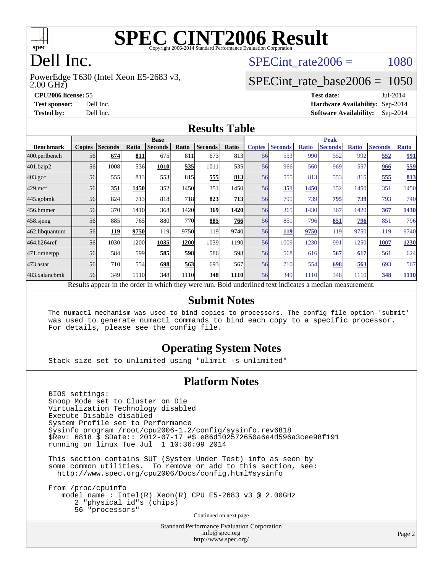

# **[SPEC CINT2006 Result](http://www.spec.org/auto/cpu2006/Docs/result-fields.html#SPECCINT2006Result)**

# Dell Inc.

2.00 GHz) PowerEdge T630 (Intel Xeon E5-2683 v3, SPECint rate $2006 = 1080$ 

## [SPECint\\_rate\\_base2006 =](http://www.spec.org/auto/cpu2006/Docs/result-fields.html#SPECintratebase2006) 1050

**[CPU2006 license:](http://www.spec.org/auto/cpu2006/Docs/result-fields.html#CPU2006license)** 55 **[Test date:](http://www.spec.org/auto/cpu2006/Docs/result-fields.html#Testdate)** Jul-2014 **[Test sponsor:](http://www.spec.org/auto/cpu2006/Docs/result-fields.html#Testsponsor)** Dell Inc. **[Hardware Availability:](http://www.spec.org/auto/cpu2006/Docs/result-fields.html#HardwareAvailability)** Sep-2014 **[Tested by:](http://www.spec.org/auto/cpu2006/Docs/result-fields.html#Testedby)** Dell Inc. **[Software Availability:](http://www.spec.org/auto/cpu2006/Docs/result-fields.html#SoftwareAvailability)** Sep-2014

#### **[Results Table](http://www.spec.org/auto/cpu2006/Docs/result-fields.html#ResultsTable)**

|                                                                                                          | <b>Base</b>   |                |       |                |            |                |             | <b>Peak</b>   |                |              |                |              |                |              |
|----------------------------------------------------------------------------------------------------------|---------------|----------------|-------|----------------|------------|----------------|-------------|---------------|----------------|--------------|----------------|--------------|----------------|--------------|
| <b>Benchmark</b>                                                                                         | <b>Copies</b> | <b>Seconds</b> | Ratio | <b>Seconds</b> | Ratio      | <b>Seconds</b> | Ratio       | <b>Copies</b> | <b>Seconds</b> | <b>Ratio</b> | <b>Seconds</b> | <b>Ratio</b> | <b>Seconds</b> | <b>Ratio</b> |
| 400.perlbench                                                                                            | 56            | 674            | 811   | 675            | 811        | 673            | 813         | 56            | 553            | 990          | 552            | 992          | 552            | <u>991</u>   |
| 401.bzip2                                                                                                | 56            | 1008           | 536   | 1010           | 535        | 1011           | 535         | 56            | 966            | 560          | 969            | 557          | 966            | 559          |
| $403.\mathrm{gcc}$                                                                                       | 56            | 555            | 813   | 553            | 815        | 555            | 813         | 56            | 555            | 813          | 553            | 815          | 555            | 813          |
| $429$ .mcf                                                                                               | 56            | 351            | 1450  | 352            | 1450       | 351            | 1450        | 56            | 351            | 1450         | 352            | 1450         | 351            | 1450         |
| $445$ .gobmk                                                                                             | 56            | 824            | 713   | 818            | <b>718</b> | 823            | 713         | 56            | 795            | 739          | 795            | 739          | 793            | 740          |
| 456.hmmer                                                                                                | 56            | 370            | 1410  | 368            | 1420       | 369            | 1420        | 56            | 365            | 1430         | 367            | 1420         | 367            | 1430         |
| $458$ .sjeng                                                                                             | 56            | 885            | 765   | 880            | 770        | 885            | <b>766</b>  | 56            | 851            | 796          | 851            | 796          | 851            | 796          |
| 462.libquantum                                                                                           | 56            | 119            | 9750  | 119            | 9750       | 119            | 9740        | 56            | <u>119</u>     | 9750         | 119            | 9750         | 119            | 9740         |
| 464.h264ref                                                                                              | 56            | 1030           | 1200  | 1035           | 1200       | 1039           | 1190        | 56            | 1009           | 1230         | 991            | 1250         | 1007           | 1230         |
| 471.omnetpp                                                                                              | 56            | 584            | 599   | 585            | 598        | 586            | 598         | 56            | 568            | 616          | 567            | 617          | 561            | 624          |
| $473.$ astar                                                                                             | 56            | 710            | 554   | 698            | 563        | 693            | 567         | 56            | 710            | 554          | 698            | 563          | 693            | 567          |
| 483.xalancbmk                                                                                            | 56            | 349            | 1110  | 348            | 1110       | 348            | <b>1110</b> | 56            | 349            | 1110         | 348            | 1110         | 348            | 1110         |
| Results appear in the order in which they were run. Bold underlined text indicates a median measurement. |               |                |       |                |            |                |             |               |                |              |                |              |                |              |

#### **[Submit Notes](http://www.spec.org/auto/cpu2006/Docs/result-fields.html#SubmitNotes)**

 The numactl mechanism was used to bind copies to processors. The config file option 'submit' was used to generate numactl commands to bind each copy to a specific processor. For details, please see the config file.

## **[Operating System Notes](http://www.spec.org/auto/cpu2006/Docs/result-fields.html#OperatingSystemNotes)**

Stack size set to unlimited using "ulimit -s unlimited"

#### **[Platform Notes](http://www.spec.org/auto/cpu2006/Docs/result-fields.html#PlatformNotes)**

 BIOS settings: Snoop Mode set to Cluster on Die Virtualization Technology disabled Execute Disable disabled System Profile set to Performance Sysinfo program /root/cpu2006-1.2/config/sysinfo.rev6818 \$Rev: 6818 \$ \$Date:: 2012-07-17 #\$ e86d102572650a6e4d596a3cee98f191 running on linux Tue Jul 1 10:36:09 2014

 This section contains SUT (System Under Test) info as seen by some common utilities. To remove or add to this section, see: <http://www.spec.org/cpu2006/Docs/config.html#sysinfo>

 From /proc/cpuinfo model name : Intel(R) Xeon(R) CPU E5-2683 v3 @ 2.00GHz 2 "physical id"s (chips) 56 "processors" Continued on next page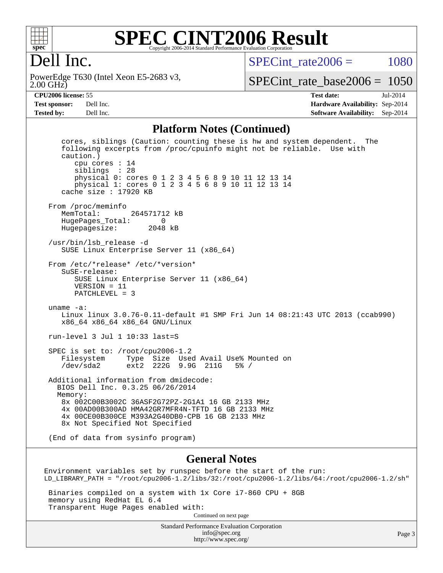

## **[SPEC CINT2006 Result](http://www.spec.org/auto/cpu2006/Docs/result-fields.html#SPECCINT2006Result)** Copyright 2006-2014 Standard Performance Evaluation Corporation

## Dell Inc.

2.00 GHz) PowerEdge T630 (Intel Xeon E5-2683 v3, SPECint rate $2006 = 1080$ 

[SPECint\\_rate\\_base2006 =](http://www.spec.org/auto/cpu2006/Docs/result-fields.html#SPECintratebase2006) 1050

**[CPU2006 license:](http://www.spec.org/auto/cpu2006/Docs/result-fields.html#CPU2006license)** 55 **[Test date:](http://www.spec.org/auto/cpu2006/Docs/result-fields.html#Testdate)** Jul-2014 **[Test sponsor:](http://www.spec.org/auto/cpu2006/Docs/result-fields.html#Testsponsor)** Dell Inc. **[Hardware Availability:](http://www.spec.org/auto/cpu2006/Docs/result-fields.html#HardwareAvailability)** Sep-2014 **[Tested by:](http://www.spec.org/auto/cpu2006/Docs/result-fields.html#Testedby)** Dell Inc. **[Software Availability:](http://www.spec.org/auto/cpu2006/Docs/result-fields.html#SoftwareAvailability)** Sep-2014

#### **[Platform Notes \(Continued\)](http://www.spec.org/auto/cpu2006/Docs/result-fields.html#PlatformNotes)**

 cores, siblings (Caution: counting these is hw and system dependent. The following excerpts from /proc/cpuinfo might not be reliable. Use with caution.) cpu cores : 14 siblings : 28 physical 0: cores 0 1 2 3 4 5 6 8 9 10 11 12 13 14 physical 1: cores 0 1 2 3 4 5 6 8 9 10 11 12 13 14 cache size : 17920 KB From /proc/meminfo<br>MemTotal: 264571712 kB HugePages\_Total: 0 Hugepagesize: 2048 kB /usr/bin/lsb\_release -d SUSE Linux Enterprise Server 11 (x86\_64) From /etc/\*release\* /etc/\*version\* SuSE-release: SUSE Linux Enterprise Server 11 (x86\_64) VERSION = 11 PATCHLEVEL = 3 uname -a: Linux linux 3.0.76-0.11-default #1 SMP Fri Jun 14 08:21:43 UTC 2013 (ccab990) x86\_64 x86\_64 x86\_64 GNU/Linux run-level 3 Jul 1 10:33 last=S SPEC is set to: /root/cpu2006-1.2 Filesystem Type Size Used Avail Use% Mounted on /dev/sda2 ext2 222G 9.9G 211G 5% / Additional information from dmidecode: BIOS Dell Inc. 0.3.25 06/26/2014 Memory: 8x 002C00B3002C 36ASF2G72PZ-2G1A1 16 GB 2133 MHz 4x 00AD00B300AD HMA42GR7MFR4N-TFTD 16 GB 2133 MHz 4x 00CE00B300CE M393A2G40DB0-CPB 16 GB 2133 MHz 8x Not Specified Not Specified (End of data from sysinfo program)

#### **[General Notes](http://www.spec.org/auto/cpu2006/Docs/result-fields.html#GeneralNotes)**

Environment variables set by runspec before the start of the run: LD\_LIBRARY\_PATH = "/root/cpu2006-1.2/libs/32:/root/cpu2006-1.2/libs/64:/root/cpu2006-1.2/sh"

 Binaries compiled on a system with 1x Core i7-860 CPU + 8GB memory using RedHat EL 6.4 Transparent Huge Pages enabled with: Continued on next page

> Standard Performance Evaluation Corporation [info@spec.org](mailto:info@spec.org) <http://www.spec.org/>

Page 3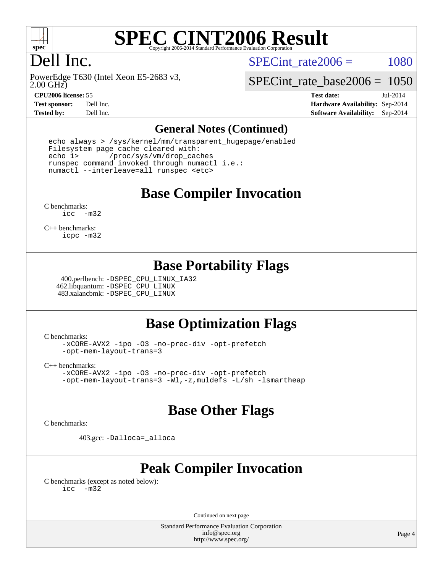

# **[SPEC CINT2006 Result](http://www.spec.org/auto/cpu2006/Docs/result-fields.html#SPECCINT2006Result)**

# Dell Inc.

SPECint rate $2006 = 1080$ 

2.00 GHz) PowerEdge T630 (Intel Xeon E5-2683 v3,

[SPECint\\_rate\\_base2006 =](http://www.spec.org/auto/cpu2006/Docs/result-fields.html#SPECintratebase2006) 1050

**[CPU2006 license:](http://www.spec.org/auto/cpu2006/Docs/result-fields.html#CPU2006license)** 55 **[Test date:](http://www.spec.org/auto/cpu2006/Docs/result-fields.html#Testdate)** Jul-2014 **[Test sponsor:](http://www.spec.org/auto/cpu2006/Docs/result-fields.html#Testsponsor)** Dell Inc. **[Hardware Availability:](http://www.spec.org/auto/cpu2006/Docs/result-fields.html#HardwareAvailability)** Sep-2014 **[Tested by:](http://www.spec.org/auto/cpu2006/Docs/result-fields.html#Testedby)** Dell Inc. **[Software Availability:](http://www.spec.org/auto/cpu2006/Docs/result-fields.html#SoftwareAvailability)** Sep-2014

### **[General Notes \(Continued\)](http://www.spec.org/auto/cpu2006/Docs/result-fields.html#GeneralNotes)**

 echo always > /sys/kernel/mm/transparent\_hugepage/enabled Filesystem page cache cleared with: echo 1> /proc/sys/vm/drop\_caches runspec command invoked through numactl i.e.: numactl --interleave=all runspec <etc>

**[Base Compiler Invocation](http://www.spec.org/auto/cpu2006/Docs/result-fields.html#BaseCompilerInvocation)**

[C benchmarks](http://www.spec.org/auto/cpu2006/Docs/result-fields.html#Cbenchmarks): [icc -m32](http://www.spec.org/cpu2006/results/res2014q3/cpu2006-20140909-31387.flags.html#user_CCbase_intel_icc_5ff4a39e364c98233615fdd38438c6f2)

[C++ benchmarks:](http://www.spec.org/auto/cpu2006/Docs/result-fields.html#CXXbenchmarks) [icpc -m32](http://www.spec.org/cpu2006/results/res2014q3/cpu2006-20140909-31387.flags.html#user_CXXbase_intel_icpc_4e5a5ef1a53fd332b3c49e69c3330699)

## **[Base Portability Flags](http://www.spec.org/auto/cpu2006/Docs/result-fields.html#BasePortabilityFlags)**

 400.perlbench: [-DSPEC\\_CPU\\_LINUX\\_IA32](http://www.spec.org/cpu2006/results/res2014q3/cpu2006-20140909-31387.flags.html#b400.perlbench_baseCPORTABILITY_DSPEC_CPU_LINUX_IA32) 462.libquantum: [-DSPEC\\_CPU\\_LINUX](http://www.spec.org/cpu2006/results/res2014q3/cpu2006-20140909-31387.flags.html#b462.libquantum_baseCPORTABILITY_DSPEC_CPU_LINUX) 483.xalancbmk: [-DSPEC\\_CPU\\_LINUX](http://www.spec.org/cpu2006/results/res2014q3/cpu2006-20140909-31387.flags.html#b483.xalancbmk_baseCXXPORTABILITY_DSPEC_CPU_LINUX)

## **[Base Optimization Flags](http://www.spec.org/auto/cpu2006/Docs/result-fields.html#BaseOptimizationFlags)**

[C benchmarks](http://www.spec.org/auto/cpu2006/Docs/result-fields.html#Cbenchmarks):

[-xCORE-AVX2](http://www.spec.org/cpu2006/results/res2014q3/cpu2006-20140909-31387.flags.html#user_CCbase_f-xAVX2_5f5fc0cbe2c9f62c816d3e45806c70d7) [-ipo](http://www.spec.org/cpu2006/results/res2014q3/cpu2006-20140909-31387.flags.html#user_CCbase_f-ipo) [-O3](http://www.spec.org/cpu2006/results/res2014q3/cpu2006-20140909-31387.flags.html#user_CCbase_f-O3) [-no-prec-div](http://www.spec.org/cpu2006/results/res2014q3/cpu2006-20140909-31387.flags.html#user_CCbase_f-no-prec-div) [-opt-prefetch](http://www.spec.org/cpu2006/results/res2014q3/cpu2006-20140909-31387.flags.html#user_CCbase_f-opt-prefetch) [-opt-mem-layout-trans=3](http://www.spec.org/cpu2006/results/res2014q3/cpu2006-20140909-31387.flags.html#user_CCbase_f-opt-mem-layout-trans_a7b82ad4bd7abf52556d4961a2ae94d5)

[C++ benchmarks:](http://www.spec.org/auto/cpu2006/Docs/result-fields.html#CXXbenchmarks)

[-xCORE-AVX2](http://www.spec.org/cpu2006/results/res2014q3/cpu2006-20140909-31387.flags.html#user_CXXbase_f-xAVX2_5f5fc0cbe2c9f62c816d3e45806c70d7) [-ipo](http://www.spec.org/cpu2006/results/res2014q3/cpu2006-20140909-31387.flags.html#user_CXXbase_f-ipo) [-O3](http://www.spec.org/cpu2006/results/res2014q3/cpu2006-20140909-31387.flags.html#user_CXXbase_f-O3) [-no-prec-div](http://www.spec.org/cpu2006/results/res2014q3/cpu2006-20140909-31387.flags.html#user_CXXbase_f-no-prec-div) [-opt-prefetch](http://www.spec.org/cpu2006/results/res2014q3/cpu2006-20140909-31387.flags.html#user_CXXbase_f-opt-prefetch) [-opt-mem-layout-trans=3](http://www.spec.org/cpu2006/results/res2014q3/cpu2006-20140909-31387.flags.html#user_CXXbase_f-opt-mem-layout-trans_a7b82ad4bd7abf52556d4961a2ae94d5) [-Wl,-z,muldefs](http://www.spec.org/cpu2006/results/res2014q3/cpu2006-20140909-31387.flags.html#user_CXXbase_link_force_multiple1_74079c344b956b9658436fd1b6dd3a8a) [-L/sh -lsmartheap](http://www.spec.org/cpu2006/results/res2014q3/cpu2006-20140909-31387.flags.html#user_CXXbase_SmartHeap_32f6c82aa1ed9c52345d30cf6e4a0499)

## **[Base Other Flags](http://www.spec.org/auto/cpu2006/Docs/result-fields.html#BaseOtherFlags)**

[C benchmarks](http://www.spec.org/auto/cpu2006/Docs/result-fields.html#Cbenchmarks):

403.gcc: [-Dalloca=\\_alloca](http://www.spec.org/cpu2006/results/res2014q3/cpu2006-20140909-31387.flags.html#b403.gcc_baseEXTRA_CFLAGS_Dalloca_be3056838c12de2578596ca5467af7f3)

## **[Peak Compiler Invocation](http://www.spec.org/auto/cpu2006/Docs/result-fields.html#PeakCompilerInvocation)**

[C benchmarks \(except as noted below\)](http://www.spec.org/auto/cpu2006/Docs/result-fields.html#Cbenchmarksexceptasnotedbelow): [icc -m32](http://www.spec.org/cpu2006/results/res2014q3/cpu2006-20140909-31387.flags.html#user_CCpeak_intel_icc_5ff4a39e364c98233615fdd38438c6f2)

Continued on next page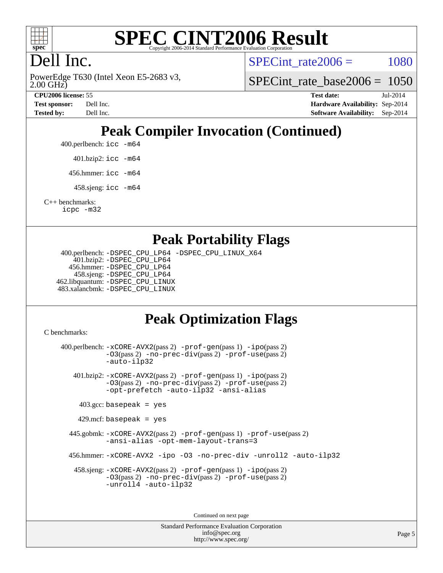

### **[SPEC CINT2006 Result](http://www.spec.org/auto/cpu2006/Docs/result-fields.html#SPECCINT2006Result)** Copyright 2006-2014 Standard Performance Evaluation C

# Dell Inc.

2.00 GHz) PowerEdge T630 (Intel Xeon E5-2683 v3, SPECint rate $2006 = 1080$ 

[SPECint\\_rate\\_base2006 =](http://www.spec.org/auto/cpu2006/Docs/result-fields.html#SPECintratebase2006) 1050

**[CPU2006 license:](http://www.spec.org/auto/cpu2006/Docs/result-fields.html#CPU2006license)** 55 **[Test date:](http://www.spec.org/auto/cpu2006/Docs/result-fields.html#Testdate)** Jul-2014 **[Test sponsor:](http://www.spec.org/auto/cpu2006/Docs/result-fields.html#Testsponsor)** Dell Inc. **[Hardware Availability:](http://www.spec.org/auto/cpu2006/Docs/result-fields.html#HardwareAvailability)** Sep-2014 **[Tested by:](http://www.spec.org/auto/cpu2006/Docs/result-fields.html#Testedby)** Dell Inc. **[Software Availability:](http://www.spec.org/auto/cpu2006/Docs/result-fields.html#SoftwareAvailability)** Sep-2014

# **[Peak Compiler Invocation \(Continued\)](http://www.spec.org/auto/cpu2006/Docs/result-fields.html#PeakCompilerInvocation)**

400.perlbench: [icc -m64](http://www.spec.org/cpu2006/results/res2014q3/cpu2006-20140909-31387.flags.html#user_peakCCLD400_perlbench_intel_icc_64bit_bda6cc9af1fdbb0edc3795bac97ada53)

401.bzip2: [icc -m64](http://www.spec.org/cpu2006/results/res2014q3/cpu2006-20140909-31387.flags.html#user_peakCCLD401_bzip2_intel_icc_64bit_bda6cc9af1fdbb0edc3795bac97ada53)

456.hmmer: [icc -m64](http://www.spec.org/cpu2006/results/res2014q3/cpu2006-20140909-31387.flags.html#user_peakCCLD456_hmmer_intel_icc_64bit_bda6cc9af1fdbb0edc3795bac97ada53)

458.sjeng: [icc -m64](http://www.spec.org/cpu2006/results/res2014q3/cpu2006-20140909-31387.flags.html#user_peakCCLD458_sjeng_intel_icc_64bit_bda6cc9af1fdbb0edc3795bac97ada53)

[C++ benchmarks:](http://www.spec.org/auto/cpu2006/Docs/result-fields.html#CXXbenchmarks) [icpc -m32](http://www.spec.org/cpu2006/results/res2014q3/cpu2006-20140909-31387.flags.html#user_CXXpeak_intel_icpc_4e5a5ef1a53fd332b3c49e69c3330699)

## **[Peak Portability Flags](http://www.spec.org/auto/cpu2006/Docs/result-fields.html#PeakPortabilityFlags)**

 400.perlbench: [-DSPEC\\_CPU\\_LP64](http://www.spec.org/cpu2006/results/res2014q3/cpu2006-20140909-31387.flags.html#b400.perlbench_peakCPORTABILITY_DSPEC_CPU_LP64) [-DSPEC\\_CPU\\_LINUX\\_X64](http://www.spec.org/cpu2006/results/res2014q3/cpu2006-20140909-31387.flags.html#b400.perlbench_peakCPORTABILITY_DSPEC_CPU_LINUX_X64) 401.bzip2: [-DSPEC\\_CPU\\_LP64](http://www.spec.org/cpu2006/results/res2014q3/cpu2006-20140909-31387.flags.html#suite_peakCPORTABILITY401_bzip2_DSPEC_CPU_LP64) 456.hmmer: [-DSPEC\\_CPU\\_LP64](http://www.spec.org/cpu2006/results/res2014q3/cpu2006-20140909-31387.flags.html#suite_peakCPORTABILITY456_hmmer_DSPEC_CPU_LP64) 458.sjeng: [-DSPEC\\_CPU\\_LP64](http://www.spec.org/cpu2006/results/res2014q3/cpu2006-20140909-31387.flags.html#suite_peakCPORTABILITY458_sjeng_DSPEC_CPU_LP64) 462.libquantum: [-DSPEC\\_CPU\\_LINUX](http://www.spec.org/cpu2006/results/res2014q3/cpu2006-20140909-31387.flags.html#b462.libquantum_peakCPORTABILITY_DSPEC_CPU_LINUX) 483.xalancbmk: [-DSPEC\\_CPU\\_LINUX](http://www.spec.org/cpu2006/results/res2014q3/cpu2006-20140909-31387.flags.html#b483.xalancbmk_peakCXXPORTABILITY_DSPEC_CPU_LINUX)

## **[Peak Optimization Flags](http://www.spec.org/auto/cpu2006/Docs/result-fields.html#PeakOptimizationFlags)**

[C benchmarks](http://www.spec.org/auto/cpu2006/Docs/result-fields.html#Cbenchmarks):

 400.perlbench: [-xCORE-AVX2](http://www.spec.org/cpu2006/results/res2014q3/cpu2006-20140909-31387.flags.html#user_peakPASS2_CFLAGSPASS2_LDCFLAGS400_perlbench_f-xAVX2_5f5fc0cbe2c9f62c816d3e45806c70d7)(pass 2) [-prof-gen](http://www.spec.org/cpu2006/results/res2014q3/cpu2006-20140909-31387.flags.html#user_peakPASS1_CFLAGSPASS1_LDCFLAGS400_perlbench_prof_gen_e43856698f6ca7b7e442dfd80e94a8fc)(pass 1) [-ipo](http://www.spec.org/cpu2006/results/res2014q3/cpu2006-20140909-31387.flags.html#user_peakPASS2_CFLAGSPASS2_LDCFLAGS400_perlbench_f-ipo)(pass 2) [-O3](http://www.spec.org/cpu2006/results/res2014q3/cpu2006-20140909-31387.flags.html#user_peakPASS2_CFLAGSPASS2_LDCFLAGS400_perlbench_f-O3)(pass 2) [-no-prec-div](http://www.spec.org/cpu2006/results/res2014q3/cpu2006-20140909-31387.flags.html#user_peakPASS2_CFLAGSPASS2_LDCFLAGS400_perlbench_f-no-prec-div)(pass 2) [-prof-use](http://www.spec.org/cpu2006/results/res2014q3/cpu2006-20140909-31387.flags.html#user_peakPASS2_CFLAGSPASS2_LDCFLAGS400_perlbench_prof_use_bccf7792157ff70d64e32fe3e1250b55)(pass 2) [-auto-ilp32](http://www.spec.org/cpu2006/results/res2014q3/cpu2006-20140909-31387.flags.html#user_peakCOPTIMIZE400_perlbench_f-auto-ilp32) 401.bzip2: [-xCORE-AVX2](http://www.spec.org/cpu2006/results/res2014q3/cpu2006-20140909-31387.flags.html#user_peakPASS2_CFLAGSPASS2_LDCFLAGS401_bzip2_f-xAVX2_5f5fc0cbe2c9f62c816d3e45806c70d7)(pass 2) [-prof-gen](http://www.spec.org/cpu2006/results/res2014q3/cpu2006-20140909-31387.flags.html#user_peakPASS1_CFLAGSPASS1_LDCFLAGS401_bzip2_prof_gen_e43856698f6ca7b7e442dfd80e94a8fc)(pass 1) [-ipo](http://www.spec.org/cpu2006/results/res2014q3/cpu2006-20140909-31387.flags.html#user_peakPASS2_CFLAGSPASS2_LDCFLAGS401_bzip2_f-ipo)(pass 2) [-O3](http://www.spec.org/cpu2006/results/res2014q3/cpu2006-20140909-31387.flags.html#user_peakPASS2_CFLAGSPASS2_LDCFLAGS401_bzip2_f-O3)(pass 2) [-no-prec-div](http://www.spec.org/cpu2006/results/res2014q3/cpu2006-20140909-31387.flags.html#user_peakPASS2_CFLAGSPASS2_LDCFLAGS401_bzip2_f-no-prec-div)(pass 2) [-prof-use](http://www.spec.org/cpu2006/results/res2014q3/cpu2006-20140909-31387.flags.html#user_peakPASS2_CFLAGSPASS2_LDCFLAGS401_bzip2_prof_use_bccf7792157ff70d64e32fe3e1250b55)(pass 2) [-opt-prefetch](http://www.spec.org/cpu2006/results/res2014q3/cpu2006-20140909-31387.flags.html#user_peakCOPTIMIZE401_bzip2_f-opt-prefetch) [-auto-ilp32](http://www.spec.org/cpu2006/results/res2014q3/cpu2006-20140909-31387.flags.html#user_peakCOPTIMIZE401_bzip2_f-auto-ilp32) [-ansi-alias](http://www.spec.org/cpu2006/results/res2014q3/cpu2006-20140909-31387.flags.html#user_peakCOPTIMIZE401_bzip2_f-ansi-alias)  $403.\text{gcc: basepeak}$  = yes  $429$ .mcf: basepeak = yes 445.gobmk: [-xCORE-AVX2](http://www.spec.org/cpu2006/results/res2014q3/cpu2006-20140909-31387.flags.html#user_peakPASS2_CFLAGSPASS2_LDCFLAGS445_gobmk_f-xAVX2_5f5fc0cbe2c9f62c816d3e45806c70d7)(pass 2) [-prof-gen](http://www.spec.org/cpu2006/results/res2014q3/cpu2006-20140909-31387.flags.html#user_peakPASS1_CFLAGSPASS1_LDCFLAGS445_gobmk_prof_gen_e43856698f6ca7b7e442dfd80e94a8fc)(pass 1) [-prof-use](http://www.spec.org/cpu2006/results/res2014q3/cpu2006-20140909-31387.flags.html#user_peakPASS2_CFLAGSPASS2_LDCFLAGS445_gobmk_prof_use_bccf7792157ff70d64e32fe3e1250b55)(pass 2) [-ansi-alias](http://www.spec.org/cpu2006/results/res2014q3/cpu2006-20140909-31387.flags.html#user_peakCOPTIMIZE445_gobmk_f-ansi-alias) [-opt-mem-layout-trans=3](http://www.spec.org/cpu2006/results/res2014q3/cpu2006-20140909-31387.flags.html#user_peakCOPTIMIZE445_gobmk_f-opt-mem-layout-trans_a7b82ad4bd7abf52556d4961a2ae94d5) 456.hmmer: [-xCORE-AVX2](http://www.spec.org/cpu2006/results/res2014q3/cpu2006-20140909-31387.flags.html#user_peakCOPTIMIZE456_hmmer_f-xAVX2_5f5fc0cbe2c9f62c816d3e45806c70d7) [-ipo](http://www.spec.org/cpu2006/results/res2014q3/cpu2006-20140909-31387.flags.html#user_peakCOPTIMIZE456_hmmer_f-ipo) [-O3](http://www.spec.org/cpu2006/results/res2014q3/cpu2006-20140909-31387.flags.html#user_peakCOPTIMIZE456_hmmer_f-O3) [-no-prec-div](http://www.spec.org/cpu2006/results/res2014q3/cpu2006-20140909-31387.flags.html#user_peakCOPTIMIZE456_hmmer_f-no-prec-div) [-unroll2](http://www.spec.org/cpu2006/results/res2014q3/cpu2006-20140909-31387.flags.html#user_peakCOPTIMIZE456_hmmer_f-unroll_784dae83bebfb236979b41d2422d7ec2) [-auto-ilp32](http://www.spec.org/cpu2006/results/res2014q3/cpu2006-20140909-31387.flags.html#user_peakCOPTIMIZE456_hmmer_f-auto-ilp32) 458.sjeng: [-xCORE-AVX2](http://www.spec.org/cpu2006/results/res2014q3/cpu2006-20140909-31387.flags.html#user_peakPASS2_CFLAGSPASS2_LDCFLAGS458_sjeng_f-xAVX2_5f5fc0cbe2c9f62c816d3e45806c70d7)(pass 2) [-prof-gen](http://www.spec.org/cpu2006/results/res2014q3/cpu2006-20140909-31387.flags.html#user_peakPASS1_CFLAGSPASS1_LDCFLAGS458_sjeng_prof_gen_e43856698f6ca7b7e442dfd80e94a8fc)(pass 1) [-ipo](http://www.spec.org/cpu2006/results/res2014q3/cpu2006-20140909-31387.flags.html#user_peakPASS2_CFLAGSPASS2_LDCFLAGS458_sjeng_f-ipo)(pass 2) [-O3](http://www.spec.org/cpu2006/results/res2014q3/cpu2006-20140909-31387.flags.html#user_peakPASS2_CFLAGSPASS2_LDCFLAGS458_sjeng_f-O3)(pass 2) [-no-prec-div](http://www.spec.org/cpu2006/results/res2014q3/cpu2006-20140909-31387.flags.html#user_peakPASS2_CFLAGSPASS2_LDCFLAGS458_sjeng_f-no-prec-div)(pass 2) [-prof-use](http://www.spec.org/cpu2006/results/res2014q3/cpu2006-20140909-31387.flags.html#user_peakPASS2_CFLAGSPASS2_LDCFLAGS458_sjeng_prof_use_bccf7792157ff70d64e32fe3e1250b55)(pass 2) [-unroll4](http://www.spec.org/cpu2006/results/res2014q3/cpu2006-20140909-31387.flags.html#user_peakCOPTIMIZE458_sjeng_f-unroll_4e5e4ed65b7fd20bdcd365bec371b81f) [-auto-ilp32](http://www.spec.org/cpu2006/results/res2014q3/cpu2006-20140909-31387.flags.html#user_peakCOPTIMIZE458_sjeng_f-auto-ilp32)

Continued on next page